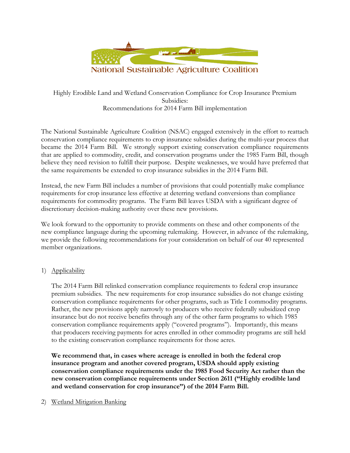

# Highly Erodible Land and Wetland Conservation Compliance for Crop Insurance Premium Subsidies: Recommendations for 2014 Farm Bill implementation

The National Sustainable Agriculture Coalition (NSAC) engaged extensively in the effort to reattach conservation compliance requirements to crop insurance subsidies during the multi-year process that became the 2014 Farm Bill. We strongly support existing conservation compliance requirements that are applied to commodity, credit, and conservation programs under the 1985 Farm Bill, though believe they need revision to fulfill their purpose. Despite weaknesses, we would have preferred that the same requirements be extended to crop insurance subsidies in the 2014 Farm Bill.

Instead, the new Farm Bill includes a number of provisions that could potentially make compliance requirements for crop insurance less effective at deterring wetland conversions than compliance requirements for commodity programs. The Farm Bill leaves USDA with a significant degree of discretionary decision-making authority over these new provisions.

We look forward to the opportunity to provide comments on these and other components of the new compliance language during the upcoming rulemaking. However, in advance of the rulemaking, we provide the following recommendations for your consideration on behalf of our 40 represented member organizations.

## 1) Applicability

The 2014 Farm Bill relinked conservation compliance requirements to federal crop insurance premium subsidies. The new requirements for crop insurance subsidies do not change existing conservation compliance requirements for other programs, such as Title I commodity programs. Rather, the new provisions apply narrowly to producers who receive federally subsidized crop insurance but do not receive benefits through any of the other farm programs to which 1985 conservation compliance requirements apply ("covered programs"). Importantly, this means that producers receiving payments for acres enrolled in other commodity programs are still held to the existing conservation compliance requirements for those acres.

**We recommend that, in cases where acreage is enrolled in both the federal crop insurance program and another covered program, USDA should apply existing conservation compliance requirements under the 1985 Food Security Act rather than the new conservation compliance requirements under Section 2611 ("Highly erodible land and wetland conservation for crop insurance") of the 2014 Farm Bill.**

### 2) Wetland Mitigation Banking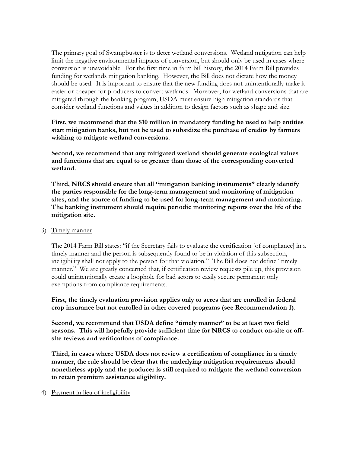The primary goal of Swampbuster is to deter wetland conversions. Wetland mitigation can help limit the negative environmental impacts of conversion, but should only be used in cases where conversion is unavoidable. For the first time in farm bill history, the 2014 Farm Bill provides funding for wetlands mitigation banking. However, the Bill does not dictate how the money should be used. It is important to ensure that the new funding does not unintentionally make it easier or cheaper for producers to convert wetlands. Moreover, for wetland conversions that are mitigated through the banking program, USDA must ensure high mitigation standards that consider wetland functions and values in addition to design factors such as shape and size.

**First, we recommend that the \$10 million in mandatory funding be used to help entities start mitigation banks, but not be used to subsidize the purchase of credits by farmers wishing to mitigate wetland conversions.** 

**Second, we recommend that any mitigated wetland should generate ecological values and functions that are equal to or greater than those of the corresponding converted wetland.** 

**Third, NRCS should ensure that all "mitigation banking instruments" clearly identify the parties responsible for the long-term management and monitoring of mitigation sites, and the source of funding to be used for long-term management and monitoring. The banking instrument should require periodic monitoring reports over the life of the mitigation site.** 

3) Timely manner

The 2014 Farm Bill states: "if the Secretary fails to evaluate the certification [of compliance] in a timely manner and the person is subsequently found to be in violation of this subsection, ineligibility shall not apply to the person for that violation." The Bill does not define "timely manner." We are greatly concerned that, if certification review requests pile up, this provision could unintentionally create a loophole for bad actors to easily secure permanent only exemptions from compliance requirements.

**First, the timely evaluation provision applies only to acres that are enrolled in federal crop insurance but not enrolled in other covered programs (see Recommendation 1).** 

**Second, we recommend that USDA define "timely manner" to be at least two field seasons. This will hopefully provide sufficient time for NRCS to conduct on-site or offsite reviews and verifications of compliance.** 

**Third, in cases where USDA does not review a certification of compliance in a timely manner, the rule should be clear that the underlying mitigation requirements should nonetheless apply and the producer is still required to mitigate the wetland conversion to retain premium assistance eligibility.**

### 4) Payment in lieu of ineligibility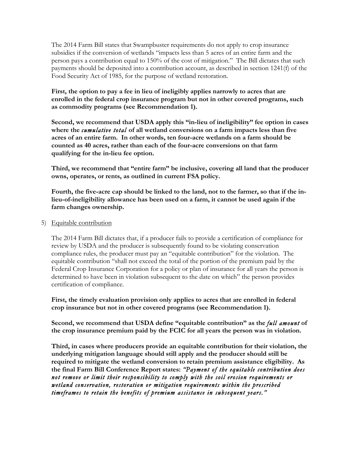The 2014 Farm Bill states that Swampbuster requirements do not apply to crop insurance subsidies if the conversion of wetlands "impacts less than 5 acres of an entire farm and the person pays a contribution equal to 150% of the cost of mitigation." The Bill dictates that such payments should be deposited into a contribution account, as described in section 1241(f) of the Food Security Act of 1985, for the purpose of wetland restoration.

**First, the option to pay a fee in lieu of ineligibly applies narrowly to acres that are enrolled in the federal crop insurance program but not in other covered programs, such as commodity programs (see Recommendation 1).** 

**Second, we recommend that USDA apply this "in-lieu of ineligibility" fee option in cases where the** *cumulative total* **of all wetland conversions on a farm impacts less than five acres of an entire farm. In other words, ten four-acre wetlands on a farm should be counted as 40 acres, rather than each of the four-acre conversions on that farm qualifying for the in-lieu fee option.** 

**Third, we recommend that "entire farm" be inclusive, covering all land that the producer owns, operates, or rents, as outlined in current FSA policy.** 

**Fourth, the five-acre cap should be linked to the land, not to the farmer, so that if the inlieu-of-ineligibility allowance has been used on a farm, it cannot be used again if the farm changes ownership.** 

#### 5) Equitable contribution

The 2014 Farm Bill dictates that, if a producer fails to provide a certification of compliance for review by USDA and the producer is subsequently found to be violating conservation compliance rules, the producer must pay an "equitable contribution" for the violation. The equitable contribution "shall not exceed the total of the portion of the premium paid by the Federal Crop Insurance Corporation for a policy or plan of insurance for all years the person is determined to have been in violation subsequent to the date on which" the person provides certification of compliance.

**First, the timely evaluation provision only applies to acres that are enrolled in federal crop insurance but not in other covered programs (see Recommendation 1).**

**Second, we recommend that USDA define "equitable contribution" as the** *full amount* **of the crop insurance premium paid by the FCIC for all years the person was in violation.** 

**Third, in cases where producers provide an equitable contribution for their violation, the underlying mitigation language should still apply and the producer should still be required to mitigate the wetland conversion to retain premium assistance eligibility. As the final Farm Bill Conference Report states:** *"Payment of the equitable contribution does not remove or limit their responsibility to comply with the soil erosion requirements or wetland conservation, restoration or mitigation requirements within the prescribed timeframes to retain the benefits of premium assistance in subsequent years."*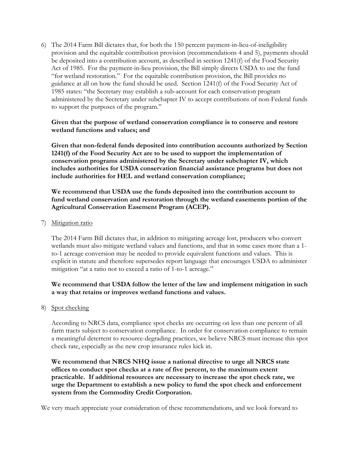6) The 2014 Farm Bill dictates that, for both the 150 percent payment-in-lieu-of-ineligibility provision and the equitable contribution provision (recommendations 4 and 5), payments should be deposited into a contribution account, as described in section 1241(f) of the Food Security Act of 1985. For the payment-in-lieu provision, the Bill simply directs USDA to use the fund "for wetland restoration." For the equitable contribution provision, the Bill provides no guidance at all on how the fund should be used. Section 1241(f) of the Food Security Act of 1985 states: "the Secretary may establish a sub-account for each conservation program administered by the Secretary under subchapter IV to accept contributions of non-Federal funds to support the purposes of the program."

### **Given that the purpose of wetland conservation compliance is to conserve and restore wetland functions and values; and**

**Given that non-federal funds deposited into contribution accounts authorized by Section 1241(f) of the Food Security Act are to be used to support the implementation of conservation programs administered by the Secretary under subchapter IV, which includes authorities for USDA conservation financial assistance programs but does not include authorities for HEL and wetland conservation compliance;**

**We recommend that USDA use the funds deposited into the contribution account to fund wetland conservation and restoration through the wetland easements portion of the Agricultural Conservation Easement Program (ACEP).**

7) Mitigation ratio

The 2014 Farm Bill dictates that, in addition to mitigating acreage lost, producers who convert wetlands must also mitigate wetland values and functions, and that in some cases more than a 1 to-1 acreage conversion may be needed to provide equivalent functions and values. This is explicit in statute and therefore supersedes report language that encourages USDA to administer mitigation "at a ratio not to exceed a ratio of 1-to-1 acreage."

### **We recommend that USDA follow the letter of the law and implement mitigation in such a way that retains or improves wetland functions and values.**

8) Spot checking

According to NRCS data, compliance spot checks are occurring on less than one percent of all farm tracts subject to conservation compliance. In order for conservation compliance to remain a meaningful deterrent to resource-degrading practices, we believe NRCS must increase this spot check rate, especially as the new crop insurance rules kick in.

**We recommend that NRCS NHQ issue a national directive to urge all NRCS state offices to conduct spot checks at a rate of five percent, to the maximum extent practicable. If additional resources are necessary to increase the spot check rate, we urge the Department to establish a new policy to fund the spot check and enforcement system from the Commodity Credit Corporation.** 

We very much appreciate your consideration of these recommendations, and we look forward to